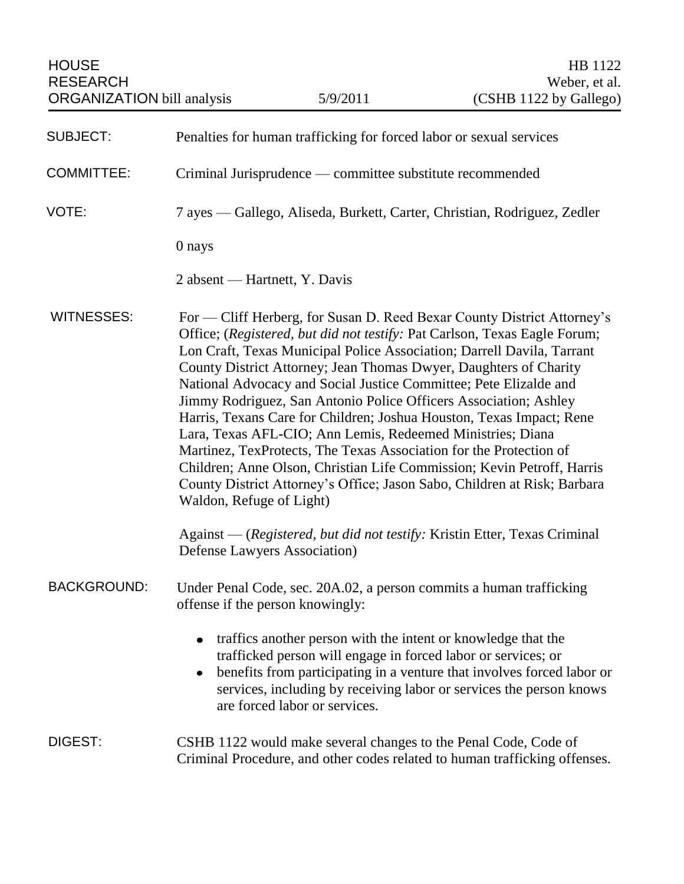| <b>SUBJECT:</b>    | Penalties for human trafficking for forced labor or sexual services                                                                                                                                                                                                                                                                                                                                                                                                                                                                                                                                                                                                                                                                                                                                                                        |
|--------------------|--------------------------------------------------------------------------------------------------------------------------------------------------------------------------------------------------------------------------------------------------------------------------------------------------------------------------------------------------------------------------------------------------------------------------------------------------------------------------------------------------------------------------------------------------------------------------------------------------------------------------------------------------------------------------------------------------------------------------------------------------------------------------------------------------------------------------------------------|
| <b>COMMITTEE:</b>  | Criminal Jurisprudence — committee substitute recommended                                                                                                                                                                                                                                                                                                                                                                                                                                                                                                                                                                                                                                                                                                                                                                                  |
| VOTE:              | 7 ayes — Gallego, Aliseda, Burkett, Carter, Christian, Rodriguez, Zedler                                                                                                                                                                                                                                                                                                                                                                                                                                                                                                                                                                                                                                                                                                                                                                   |
|                    | 0 nays                                                                                                                                                                                                                                                                                                                                                                                                                                                                                                                                                                                                                                                                                                                                                                                                                                     |
|                    | 2 absent — Hartnett, Y. Davis                                                                                                                                                                                                                                                                                                                                                                                                                                                                                                                                                                                                                                                                                                                                                                                                              |
| <b>WITNESSES:</b>  | For — Cliff Herberg, for Susan D. Reed Bexar County District Attorney's<br>Office; (Registered, but did not testify: Pat Carlson, Texas Eagle Forum;<br>Lon Craft, Texas Municipal Police Association; Darrell Davila, Tarrant<br>County District Attorney; Jean Thomas Dwyer, Daughters of Charity<br>National Advocacy and Social Justice Committee; Pete Elizalde and<br>Jimmy Rodriguez, San Antonio Police Officers Association; Ashley<br>Harris, Texans Care for Children; Joshua Houston, Texas Impact; Rene<br>Lara, Texas AFL-CIO; Ann Lemis, Redeemed Ministries; Diana<br>Martinez, TexProtects, The Texas Association for the Protection of<br>Children; Anne Olson, Christian Life Commission; Kevin Petroff, Harris<br>County District Attorney's Office; Jason Sabo, Children at Risk; Barbara<br>Waldon, Refuge of Light) |
|                    | Against — (Registered, but did not testify: Kristin Etter, Texas Criminal<br>Defense Lawyers Association)                                                                                                                                                                                                                                                                                                                                                                                                                                                                                                                                                                                                                                                                                                                                  |
| <b>BACKGROUND:</b> | Under Penal Code, sec. 20A.02, a person commits a human trafficking<br>offense if the person knowingly:                                                                                                                                                                                                                                                                                                                                                                                                                                                                                                                                                                                                                                                                                                                                    |
|                    | traffics another person with the intent or knowledge that the<br>trafficked person will engage in forced labor or services; or<br>benefits from participating in a venture that involves forced labor or<br>٠<br>services, including by receiving labor or services the person knows<br>are forced labor or services.                                                                                                                                                                                                                                                                                                                                                                                                                                                                                                                      |
| DIGEST:            | CSHB 1122 would make several changes to the Penal Code, Code of<br>Criminal Procedure, and other codes related to human trafficking offenses.                                                                                                                                                                                                                                                                                                                                                                                                                                                                                                                                                                                                                                                                                              |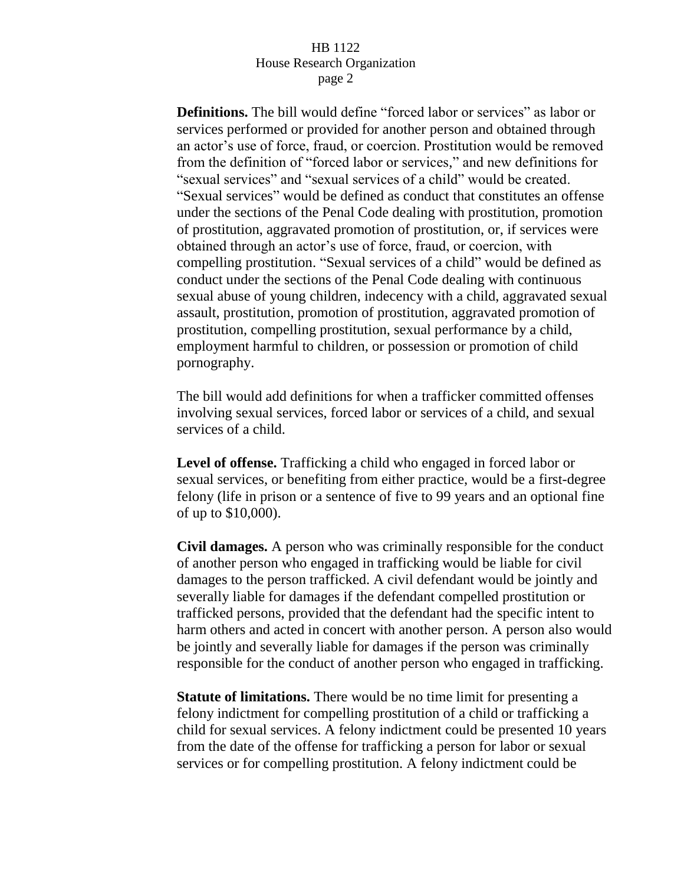**Definitions.** The bill would define "forced labor or services" as labor or services performed or provided for another person and obtained through an actor's use of force, fraud, or coercion. Prostitution would be removed from the definition of "forced labor or services," and new definitions for "sexual services" and "sexual services of a child" would be created. "Sexual services" would be defined as conduct that constitutes an offense under the sections of the Penal Code dealing with prostitution, promotion of prostitution, aggravated promotion of prostitution, or, if services were obtained through an actor's use of force, fraud, or coercion, with compelling prostitution. "Sexual services of a child" would be defined as conduct under the sections of the Penal Code dealing with continuous sexual abuse of young children, indecency with a child, aggravated sexual assault, prostitution, promotion of prostitution, aggravated promotion of prostitution, compelling prostitution, sexual performance by a child, employment harmful to children, or possession or promotion of child pornography.

The bill would add definitions for when a trafficker committed offenses involving sexual services, forced labor or services of a child, and sexual services of a child.

**Level of offense.** Trafficking a child who engaged in forced labor or sexual services, or benefiting from either practice, would be a first-degree felony (life in prison or a sentence of five to 99 years and an optional fine of up to \$10,000).

**Civil damages.** A person who was criminally responsible for the conduct of another person who engaged in trafficking would be liable for civil damages to the person trafficked. A civil defendant would be jointly and severally liable for damages if the defendant compelled prostitution or trafficked persons, provided that the defendant had the specific intent to harm others and acted in concert with another person. A person also would be jointly and severally liable for damages if the person was criminally responsible for the conduct of another person who engaged in trafficking.

**Statute of limitations.** There would be no time limit for presenting a felony indictment for compelling prostitution of a child or trafficking a child for sexual services. A felony indictment could be presented 10 years from the date of the offense for trafficking a person for labor or sexual services or for compelling prostitution. A felony indictment could be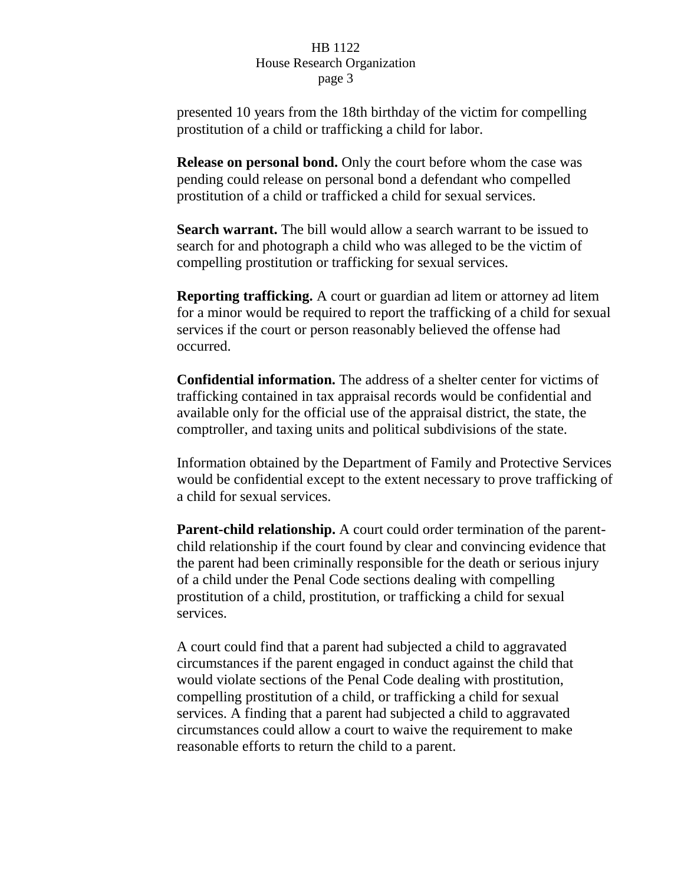presented 10 years from the 18th birthday of the victim for compelling prostitution of a child or trafficking a child for labor.

**Release on personal bond.** Only the court before whom the case was pending could release on personal bond a defendant who compelled prostitution of a child or trafficked a child for sexual services.

**Search warrant.** The bill would allow a search warrant to be issued to search for and photograph a child who was alleged to be the victim of compelling prostitution or trafficking for sexual services.

**Reporting trafficking.** A court or guardian ad litem or attorney ad litem for a minor would be required to report the trafficking of a child for sexual services if the court or person reasonably believed the offense had occurred.

**Confidential information.** The address of a shelter center for victims of trafficking contained in tax appraisal records would be confidential and available only for the official use of the appraisal district, the state, the comptroller, and taxing units and political subdivisions of the state.

Information obtained by the Department of Family and Protective Services would be confidential except to the extent necessary to prove trafficking of a child for sexual services.

**Parent-child relationship.** A court could order termination of the parentchild relationship if the court found by clear and convincing evidence that the parent had been criminally responsible for the death or serious injury of a child under the Penal Code sections dealing with compelling prostitution of a child, prostitution, or trafficking a child for sexual services.

A court could find that a parent had subjected a child to aggravated circumstances if the parent engaged in conduct against the child that would violate sections of the Penal Code dealing with prostitution, compelling prostitution of a child, or trafficking a child for sexual services. A finding that a parent had subjected a child to aggravated circumstances could allow a court to waive the requirement to make reasonable efforts to return the child to a parent.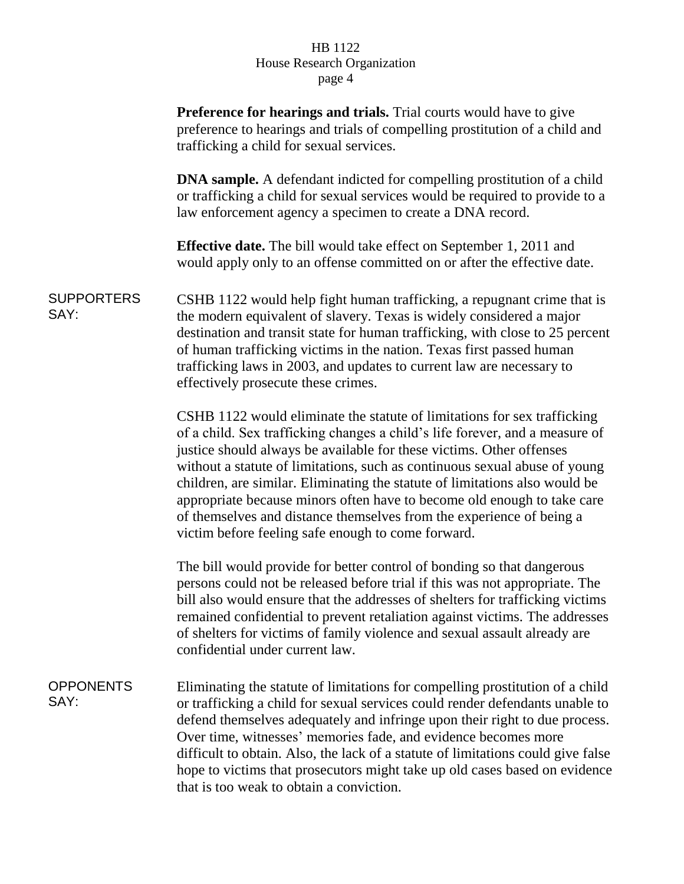|                           | Preference for hearings and trials. Trial courts would have to give<br>preference to hearings and trials of compelling prostitution of a child and<br>trafficking a child for sexual services.                                                                                                                                                                                                                                                                                                                                                                                                         |
|---------------------------|--------------------------------------------------------------------------------------------------------------------------------------------------------------------------------------------------------------------------------------------------------------------------------------------------------------------------------------------------------------------------------------------------------------------------------------------------------------------------------------------------------------------------------------------------------------------------------------------------------|
|                           | <b>DNA sample.</b> A defendant indicted for compelling prostitution of a child<br>or trafficking a child for sexual services would be required to provide to a<br>law enforcement agency a specimen to create a DNA record.                                                                                                                                                                                                                                                                                                                                                                            |
|                           | <b>Effective date.</b> The bill would take effect on September 1, 2011 and<br>would apply only to an offense committed on or after the effective date.                                                                                                                                                                                                                                                                                                                                                                                                                                                 |
| <b>SUPPORTERS</b><br>SAY: | CSHB 1122 would help fight human trafficking, a repugnant crime that is<br>the modern equivalent of slavery. Texas is widely considered a major<br>destination and transit state for human trafficking, with close to 25 percent<br>of human trafficking victims in the nation. Texas first passed human<br>trafficking laws in 2003, and updates to current law are necessary to<br>effectively prosecute these crimes.                                                                                                                                                                               |
|                           | CSHB 1122 would eliminate the statute of limitations for sex trafficking<br>of a child. Sex trafficking changes a child's life forever, and a measure of<br>justice should always be available for these victims. Other offenses<br>without a statute of limitations, such as continuous sexual abuse of young<br>children, are similar. Eliminating the statute of limitations also would be<br>appropriate because minors often have to become old enough to take care<br>of themselves and distance themselves from the experience of being a<br>victim before feeling safe enough to come forward. |
|                           | The bill would provide for better control of bonding so that dangerous<br>persons could not be released before trial if this was not appropriate. The<br>bill also would ensure that the addresses of shelters for trafficking victims<br>remained confidential to prevent retaliation against victims. The addresses<br>of shelters for victims of family violence and sexual assault already are<br>confidential under current law.                                                                                                                                                                  |
| <b>OPPONENTS</b><br>SAY:  | Eliminating the statute of limitations for compelling prostitution of a child<br>or trafficking a child for sexual services could render defendants unable to<br>defend themselves adequately and infringe upon their right to due process.<br>Over time, witnesses' memories fade, and evidence becomes more<br>difficult to obtain. Also, the lack of a statute of limitations could give false<br>hope to victims that prosecutors might take up old cases based on evidence<br>that is too weak to obtain a conviction.                                                                            |